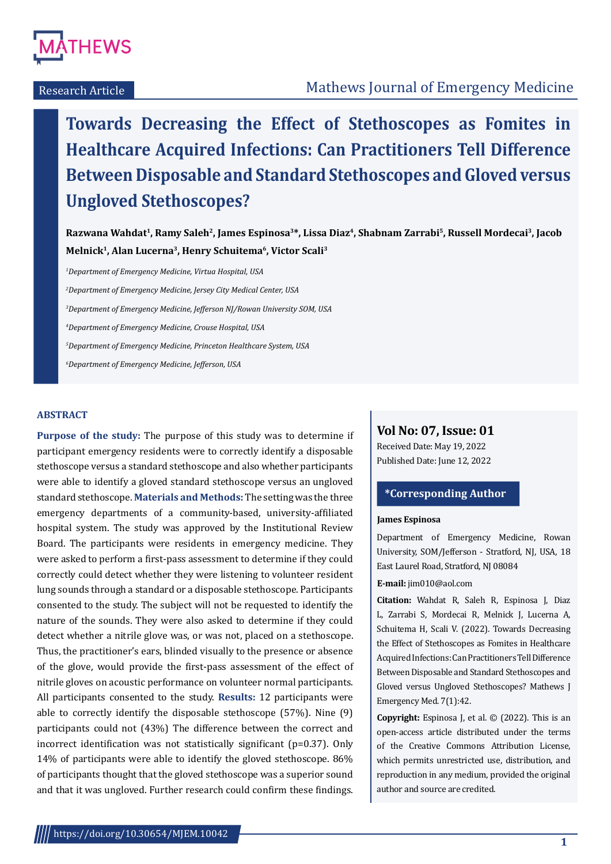

**Towards Decreasing the Effect of Stethoscopes as Fomites in Healthcare Acquired Infections: Can Practitioners Tell Difference Between Disposable and Standard Stethoscopes and Gloved versus Ungloved Stethoscopes?**

**Razwana Wahdat1, Ramy Saleh2, James Espinosa3\*, Lissa Diaz4, Shabnam Zarrabi5, Russell Mordecai3, Jacob Melnick1, Alan Lucerna3, Henry Schuitema6, Victor Scali3**

 *Department of Emergency Medicine, Virtua Hospital, USA Department of Emergency Medicine, Jersey City Medical Center, USA Department of Emergency Medicine, Jefferson NJ/Rowan University SOM, USA Department of Emergency Medicine, Crouse Hospital, USA Department of Emergency Medicine, Princeton Healthcare System, USA Department of Emergency Medicine, Jefferson, USA*

#### **ABSTRACT**

**Purpose of the study:** The purpose of this study was to determine if participant emergency residents were to correctly identify a disposable stethoscope versus a standard stethoscope and also whether participants were able to identify a gloved standard stethoscope versus an ungloved standard stethoscope. **Materials and Methods:** The setting was the three emergency departments of a community-based, university-affiliated hospital system. The study was approved by the Institutional Review Board. The participants were residents in emergency medicine. They were asked to perform a first-pass assessment to determine if they could correctly could detect whether they were listening to volunteer resident lung sounds through a standard or a disposable stethoscope. Participants consented to the study. The subject will not be requested to identify the nature of the sounds. They were also asked to determine if they could detect whether a nitrile glove was, or was not, placed on a stethoscope. Thus, the practitioner's ears, blinded visually to the presence or absence of the glove, would provide the first-pass assessment of the effect of nitrile gloves on acoustic performance on volunteer normal participants. All participants consented to the study. **Results:** 12 participants were able to correctly identify the disposable stethoscope (57%). Nine (9) participants could not (43%) The difference between the correct and incorrect identification was not statistically significant (p=0.37). Only 14% of participants were able to identify the gloved stethoscope. 86% of participants thought that the gloved stethoscope was a superior sound and that it was ungloved. Further research could confirm these findings.

# **Vol No: 07, Issue: 01**

Received Date: May 19, 2022 Published Date: June 12, 2022

# **\*Corresponding Author**

## **James Espinosa**

Department of Emergency Medicine, Rowan University, SOM/Jefferson - Stratford, NJ, USA, 18 East Laurel Road, Stratford, NJ 08084

**E-mail:** jim010@aol.com

**Citation:** Wahdat R, Saleh R, Espinosa J, Diaz L, Zarrabi S, Mordecai R, Melnick J, Lucerna A, Schuitema H, Scali V. (2022). Towards Decreasing the Effect of Stethoscopes as Fomites in Healthcare Acquired Infections: Can Practitioners Tell Difference Between Disposable and Standard Stethoscopes and Gloved versus Ungloved Stethoscopes? Mathews J Emergency Med. 7(1):42.

**Copyright:** Espinosa J, et al. © (2022). This is an open-access article distributed under the terms of the Creative Commons Attribution License, which permits unrestricted use, distribution, and reproduction in any medium, provided the original author and source are credited.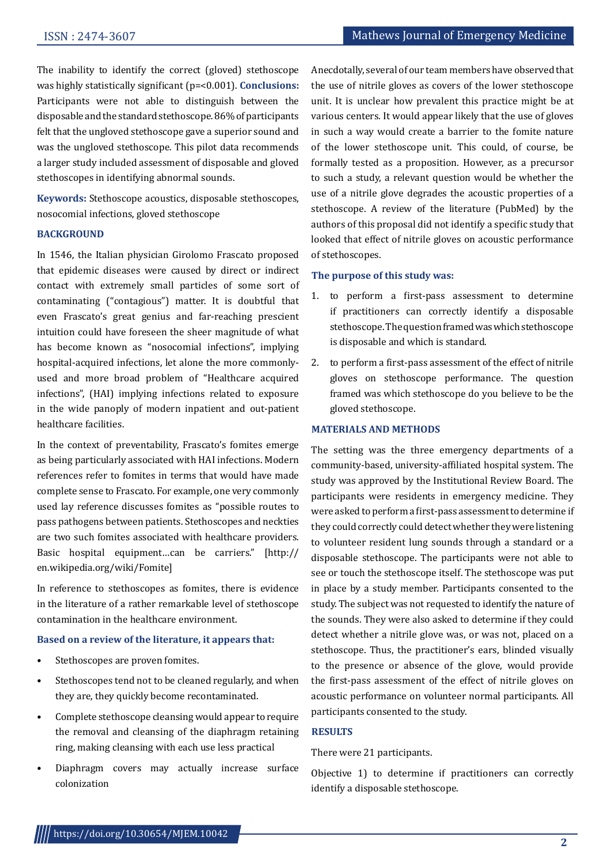The inability to identify the correct (gloved) stethoscope was highly statistically significant (p=<0.001). **Conclusions:** Participants were not able to distinguish between the disposable and the standard stethoscope. 86% of participants felt that the ungloved stethoscope gave a superior sound and was the ungloved stethoscope. This pilot data recommends a larger study included assessment of disposable and gloved stethoscopes in identifying abnormal sounds.

**Keywords:** Stethoscope acoustics, disposable stethoscopes, nosocomial infections, gloved stethoscope

#### **BACKGROUND**

In 1546, the Italian physician Girolomo Frascato proposed that epidemic diseases were caused by direct or indirect contact with extremely small particles of some sort of contaminating ("contagious") matter. It is doubtful that even Frascato's great genius and far-reaching prescient intuition could have foreseen the sheer magnitude of what has become known as "nosocomial infections", implying hospital-acquired infections, let alone the more commonlyused and more broad problem of "Healthcare acquired infections", (HAI) implying infections related to exposure in the wide panoply of modern inpatient and out-patient healthcare facilities.

In the context of preventability, Frascato's fomites emerge as being particularly associated with HAI infections. Modern references refer to fomites in terms that would have made complete sense to Frascato. For example, one very commonly used lay reference discusses fomites as "possible routes to pass pathogens between patients. Stethoscopes and neckties are two such fomites associated with healthcare providers. Basic hospital equipment…can be carriers." [http:// en.wikipedia.org/wiki/Fomite]

In reference to stethoscopes as fomites, there is evidence in the literature of a rather remarkable level of stethoscope contamination in the healthcare environment.

#### **Based on a review of the literature, it appears that:**

- Stethoscopes are proven fomites.
- Stethoscopes tend not to be cleaned regularly, and when they are, they quickly become recontaminated.
- Complete stethoscope cleansing would appear to require the removal and cleansing of the diaphragm retaining ring, making cleansing with each use less practical
- Diaphragm covers may actually increase surface colonization

Anecdotally, several of our team members have observed that the use of nitrile gloves as covers of the lower stethoscope unit. It is unclear how prevalent this practice might be at various centers. It would appear likely that the use of gloves in such a way would create a barrier to the fomite nature of the lower stethoscope unit. This could, of course, be formally tested as a proposition. However, as a precursor to such a study, a relevant question would be whether the use of a nitrile glove degrades the acoustic properties of a stethoscope. A review of the literature (PubMed) by the authors of this proposal did not identify a specific study that looked that effect of nitrile gloves on acoustic performance of stethoscopes.

## **The purpose of this study was:**

- 1. to perform a first-pass assessment to determine if practitioners can correctly identify a disposable stethoscope. The question framed was which stethoscope is disposable and which is standard.
- 2. to perform a first-pass assessment of the effect of nitrile gloves on stethoscope performance. The question framed was which stethoscope do you believe to be the gloved stethoscope.

#### **MATERIALS AND METHODS**

The setting was the three emergency departments of a community-based, university-affiliated hospital system. The study was approved by the Institutional Review Board. The participants were residents in emergency medicine. They were asked to perform a first-pass assessment to determine if they could correctly could detect whether they were listening to volunteer resident lung sounds through a standard or a disposable stethoscope. The participants were not able to see or touch the stethoscope itself. The stethoscope was put in place by a study member. Participants consented to the study. The subject was not requested to identify the nature of the sounds. They were also asked to determine if they could detect whether a nitrile glove was, or was not, placed on a stethoscope. Thus, the practitioner's ears, blinded visually to the presence or absence of the glove, would provide the first-pass assessment of the effect of nitrile gloves on acoustic performance on volunteer normal participants. All participants consented to the study.

## **RESULTS**

There were 21 participants.

Objective 1) to determine if practitioners can correctly identify a disposable stethoscope.